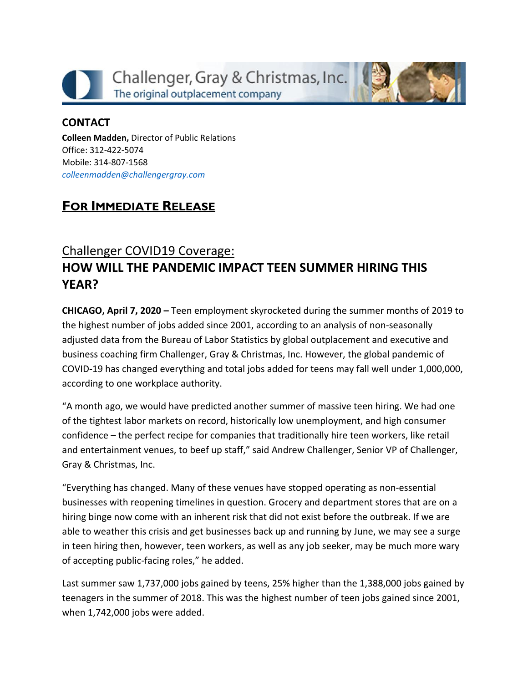



## **CONTACT**

**Colleen Madden,** Director of Public Relations Office: 312-422-5074 Mobile: 314-807-1568 *[colleenmadden@challengergray.com](mailto:colleenmadden@challengergray.com)*

## **FOR IMMEDIATE RELEASE**

## Challenger COVID19 Coverage: **HOW WILL THE PANDEMIC IMPACT TEEN SUMMER HIRING THIS YEAR?**

**CHICAGO, April 7, 2020 –** Teen employment skyrocketed during the summer months of 2019 to the highest number of jobs added since 2001, according to an analysis of non-seasonally adjusted data from the Bureau of Labor Statistics by global outplacement and executive and business coaching firm Challenger, Gray & Christmas, Inc. However, the global pandemic of COVID-19 has changed everything and total jobs added for teens may fall well under 1,000,000, according to one workplace authority.

"A month ago, we would have predicted another summer of massive teen hiring. We had one of the tightest labor markets on record, historically low unemployment, and high consumer confidence – the perfect recipe for companies that traditionally hire teen workers, like retail and entertainment venues, to beef up staff," said Andrew Challenger, Senior VP of Challenger, Gray & Christmas, Inc.

"Everything has changed. Many of these venues have stopped operating as non-essential businesses with reopening timelines in question. Grocery and department stores that are on a hiring binge now come with an inherent risk that did not exist before the outbreak. If we are able to weather this crisis and get businesses back up and running by June, we may see a surge in teen hiring then, however, teen workers, as well as any job seeker, may be much more wary of accepting public-facing roles," he added.

Last summer saw 1,737,000 jobs gained by teens, 25% higher than the 1,388,000 jobs gained by teenagers in the summer of 2018. This was the highest number of teen jobs gained since 2001, when 1,742,000 jobs were added.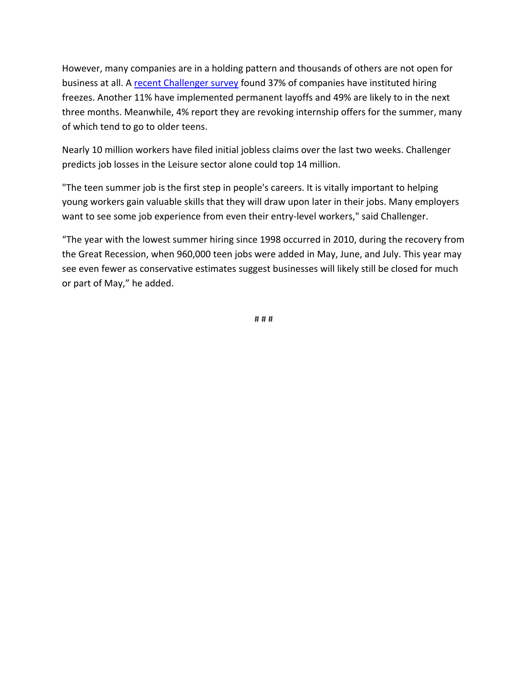However, many companies are in a holding pattern and thousands of others are not open for business at all. A [recent Challenger survey](https://www.challengergray.com/press/press-releases/covid19-hr-survey-results-how-are-companies-responding-crisis) found 37% of companies have instituted hiring freezes. Another 11% have implemented permanent layoffs and 49% are likely to in the next three months. Meanwhile, 4% report they are revoking internship offers for the summer, many of which tend to go to older teens.

Nearly 10 million workers have filed initial jobless claims over the last two weeks. Challenger predicts job losses in the Leisure sector alone could top 14 million.

"The teen summer job is the first step in people's careers. It is vitally important to helping young workers gain valuable skills that they will draw upon later in their jobs. Many employers want to see some job experience from even their entry-level workers," said Challenger.

"The year with the lowest summer hiring since 1998 occurred in 2010, during the recovery from the Great Recession, when 960,000 teen jobs were added in May, June, and July. This year may see even fewer as conservative estimates suggest businesses will likely still be closed for much or part of May," he added.

# # #